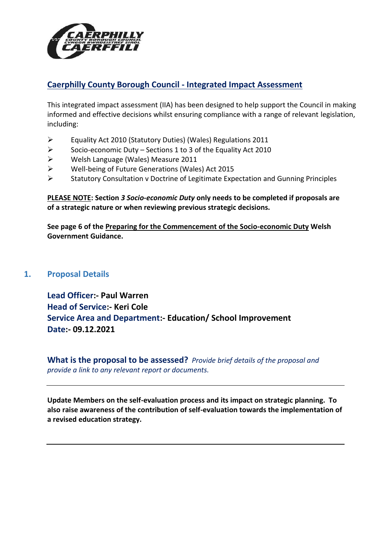

# **Caerphilly County Borough Council - Integrated Impact Assessment**

This integrated impact assessment (IIA) has been designed to help support the Council in making informed and effective decisions whilst ensuring compliance with a range of relevant legislation, including:

- Equality Act 2010 (Statutory Duties) (Wales) Regulations 2011
- $\triangleright$  Socio-economic Duty Sections 1 to 3 of the Equality Act 2010
- Welsh Language (Wales) Measure 2011
- Well-being of Future Generations (Wales) Act 2015
- $\triangleright$  Statutory Consultation v Doctrine of Legitimate Expectation and Gunning Principles

**PLEASE NOTE: Section** *3 Socio-economic Duty* **only needs to be completed if proposals are of a strategic nature or when reviewing previous strategic decisions.** 

**See page 6 of the [Preparing for the Commencement of the Socio-economic Duty](https://gov.wales/sites/default/files/publications/2020-07/preparing-for-the-commencement-of-the-socio-economic-duty.pdf) Welsh Government Guidance.**

## **1. Proposal Details**

**Lead Officer:- Paul Warren Head of Service:- Keri Cole Service Area and Department:- Education/ School Improvement Date:- 09.12.2021**

**What is the proposal to be assessed?** *Provide brief details of the proposal and provide a link to any relevant report or documents.*

**Update Members on the self-evaluation process and its impact on strategic planning. To also raise awareness of the contribution of self-evaluation towards the implementation of a revised education strategy.**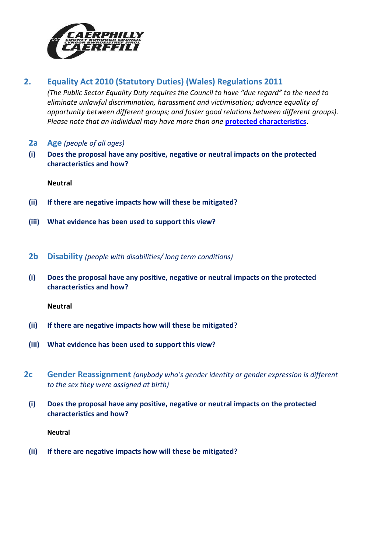

# **2. Equality Act 2010 (Statutory Duties) (Wales) Regulations 2011**

*(The Public Sector Equality Duty requires the Council to have "due regard" to the need to eliminate unlawful discrimination, harassment and victimisation; advance equality of opportunity between different groups; and foster good relations between different groups). Please note that an individual may have more than one* **[protected characteristics](https://www.caerphilly.gov.uk/My-Council/Equalities/Equalities-issues)**.

- **2a Age** *(people of all ages)*
- **(i) Does the proposal have any positive, negative or neutral impacts on the protected characteristics and how?**

**Neutral**

- **(ii) If there are negative impacts how will these be mitigated?**
- **(iii) What evidence has been used to support this view?**
- **2b Disability** *(people with disabilities/ long term conditions)*
- **(i) Does the proposal have any positive, negative or neutral impacts on the protected characteristics and how?**

**Neutral**

- **(ii) If there are negative impacts how will these be mitigated?**
- **(iii) What evidence has been used to support this view?**
- **2c Gender Reassignment** *(anybody who's gender identity or gender expression is different to the sex they were assigned at birth)*
	- **(i) Does the proposal have any positive, negative or neutral impacts on the protected characteristics and how?**

**Neutral**

**(ii) If there are negative impacts how will these be mitigated?**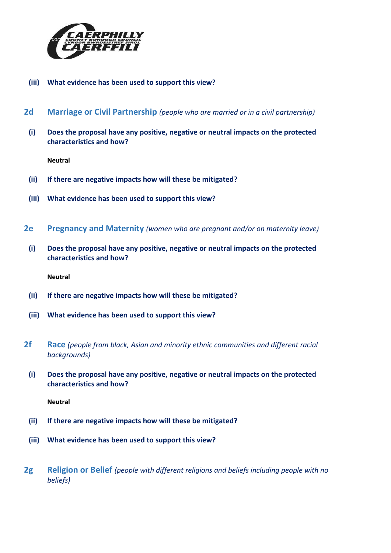

- **(iii) What evidence has been used to support this view?**
- **2d Marriage or Civil Partnership** *(people who are married or in a civil partnership)*
- **(i) Does the proposal have any positive, negative or neutral impacts on the protected characteristics and how?**

- **(ii) If there are negative impacts how will these be mitigated?**
- **(iii) What evidence has been used to support this view?**
- **2e Pregnancy and Maternity** *(women who are pregnant and/or on maternity leave)*
- **(i) Does the proposal have any positive, negative or neutral impacts on the protected characteristics and how?**

**Neutral**

- **(ii) If there are negative impacts how will these be mitigated?**
- **(iii) What evidence has been used to support this view?**
- **2f Race** *(people from black, Asian and minority ethnic communities and different racial backgrounds)*
	- **(i) Does the proposal have any positive, negative or neutral impacts on the protected characteristics and how?**

- **(ii) If there are negative impacts how will these be mitigated?**
- **(iii) What evidence has been used to support this view?**
- **2g Religion or Belief** *(people with different religions and beliefs including people with no beliefs)*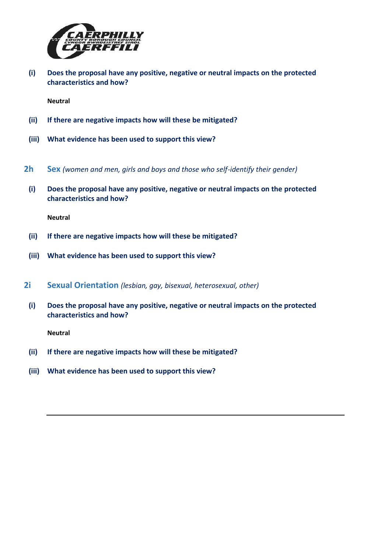

**(i) Does the proposal have any positive, negative or neutral impacts on the protected characteristics and how?**

**Neutral**

- **(ii) If there are negative impacts how will these be mitigated?**
- **(iii) What evidence has been used to support this view?**
- **2h Sex** *(women and men, girls and boys and those who self-identify their gender)*
	- **(i) Does the proposal have any positive, negative or neutral impacts on the protected characteristics and how?**

**Neutral**

- **(ii) If there are negative impacts how will these be mitigated?**
- **(iii) What evidence has been used to support this view?**
- **2i Sexual Orientation** *(lesbian, gay, bisexual, heterosexual, other)*
	- **(i) Does the proposal have any positive, negative or neutral impacts on the protected characteristics and how?**

- **(ii) If there are negative impacts how will these be mitigated?**
- **(iii) What evidence has been used to support this view?**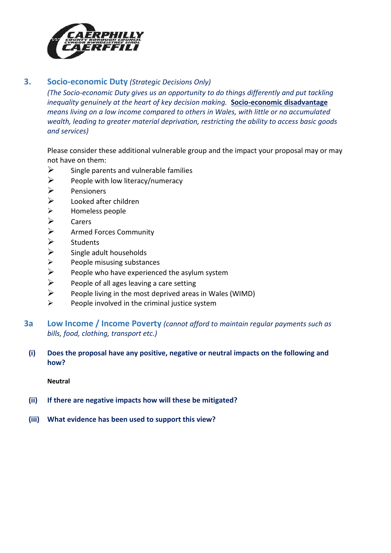

## **3. Socio-economic Duty** *(Strategic Decisions Only)*

*(The Socio-economic Duty gives us an opportunity to do things differently and put tackling inequality genuinely at the heart of key decision making.* **[Socio-economic disadvantage](http://sc-aptdken2/KENTICO10/Departments/Corporate-Policy-Business-Support-Unit/Socio-Economic-Duty.aspx)** *means living on a low income compared to others in Wales, with little or no accumulated wealth, leading to greater material deprivation, restricting the ability to access basic goods and services)*

Please consider these additional vulnerable group and the impact your proposal may or may not have on them:

- $\triangleright$  Single parents and vulnerable families
- $\triangleright$  People with low literacy/numeracy
- $\triangleright$  Pensioners
- $\triangleright$  Looked after children
- $\triangleright$  Homeless people
- $\triangleright$  Carers
- $\triangleright$  Armed Forces Community<br> $\triangleright$  Students
- **Students**
- $\triangleright$  Single adult households
- $\triangleright$  People misusing substances
- $\triangleright$  People who have experienced the asylum system
- $\triangleright$  People of all ages leaving a care setting
- $\triangleright$  People living in the most deprived areas in Wales (WIMD)
- $\triangleright$  People involved in the criminal justice system
- **3a Low Income / Income Poverty** *(cannot afford to maintain regular payments such as bills, food, clothing, transport etc.)*
	- **(i) Does the proposal have any positive, negative or neutral impacts on the following and how?**

- **(ii) If there are negative impacts how will these be mitigated?**
- **(iii) What evidence has been used to support this view?**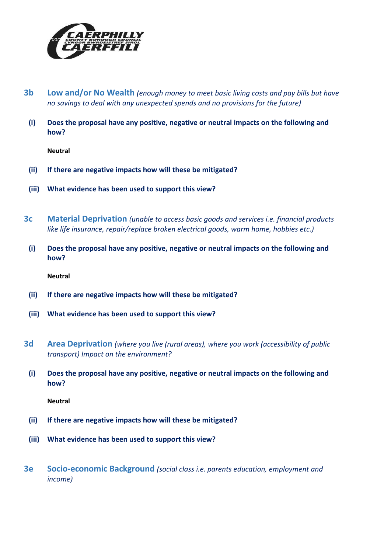

- **3b Low and/or No Wealth** *(enough money to meet basic living costs and pay bills but have no savings to deal with any unexpected spends and no provisions for the future)*
- **(i) Does the proposal have any positive, negative or neutral impacts on the following and how?**

- **(ii) If there are negative impacts how will these be mitigated?**
- **(iii) What evidence has been used to support this view?**
- **3c Material Deprivation** *(unable to access basic goods and services i.e. financial products like life insurance, repair/replace broken electrical goods, warm home, hobbies etc.)*
- **(i) Does the proposal have any positive, negative or neutral impacts on the following and how?**

**Neutral**

- **(ii) If there are negative impacts how will these be mitigated?**
- **(iii) What evidence has been used to support this view?**
- **3d Area Deprivation** *(where you live (rural areas), where you work (accessibility of public transport) Impact on the environment?*
	- **(i) Does the proposal have any positive, negative or neutral impacts on the following and how?**

- **(ii) If there are negative impacts how will these be mitigated?**
- **(iii) What evidence has been used to support this view?**
- **3e Socio-economic Background** *(social class i.e. parents education, employment and income)*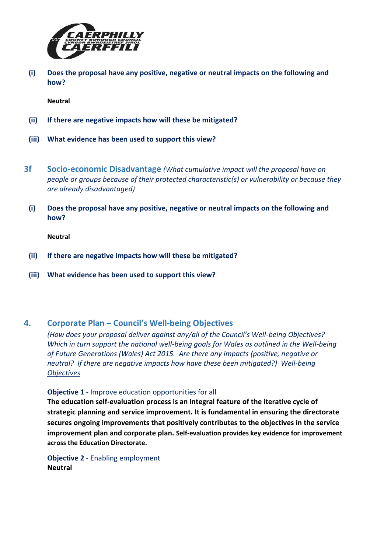

**(i) Does the proposal have any positive, negative or neutral impacts on the following and how?**

**Neutral**

- **(ii) If there are negative impacts how will these be mitigated?**
- **(iii) What evidence has been used to support this view?**
- **3f Socio-economic Disadvantage** *(What cumulative impact will the proposal have on people or groups because of their protected characteristic(s) or vulnerability or because they are already disadvantaged)*
	- **(i) Does the proposal have any positive, negative or neutral impacts on the following and how?**

**Neutral**

- **(ii) If there are negative impacts how will these be mitigated?**
- **(iii) What evidence has been used to support this view?**

#### **4. Corporate Plan – Council's Well-being Objectives**

*(How does your proposal deliver against any/all of the Council's Well-being Objectives? Which in turn support the national well-being goals for Wales as outlined in the Well-being of Future Generations (Wales) Act 2015. Are there any impacts (positive, negative or neutral? If there are negative impacts how have these been mitigated?) [Well-being](https://www.caerphilly.gov.uk/CaerphillyDocs/Council-and-democracy/Corporate_Plan_2018-2023.aspx)  [Objectives](https://www.caerphilly.gov.uk/CaerphillyDocs/Council-and-democracy/Corporate_Plan_2018-2023.aspx)*

#### **Objective 1** - Improve education opportunities for all

**The education self-evaluation process is an integral feature of the iterative cycle of strategic planning and service improvement. It is fundamental in ensuring the directorate secures ongoing improvements that positively contributes to the objectives in the service improvement plan and corporate plan. Self-evaluation provides key evidence for improvement across the Education Directorate.**

**Objective 2** - Enabling employment **Neutral**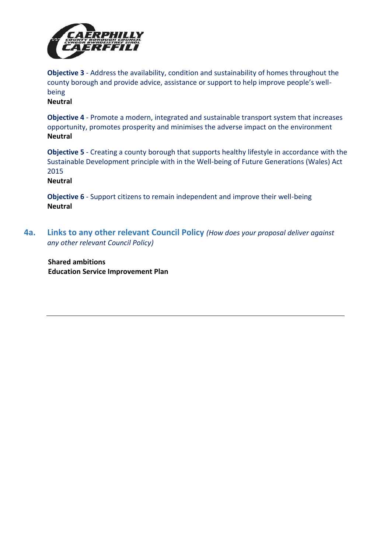

**Objective 3** - Address the availability, condition and sustainability of homes throughout the county borough and provide advice, assistance or support to help improve people's wellbeing

**Neutral**

**Objective 4** - Promote a modern, integrated and sustainable transport system that increases opportunity, promotes prosperity and minimises the adverse impact on the environment **Neutral**

**Objective 5** - Creating a county borough that supports healthy lifestyle in accordance with the Sustainable Development principle with in the Well-being of Future Generations (Wales) Act 2015

**Neutral**

**Objective 6** - Support citizens to remain independent and improve their well-being **Neutral**

**4a. Links to any other relevant Council Policy** *(How does your proposal deliver against any other relevant Council Policy)*

**Shared ambitions Education Service Improvement Plan**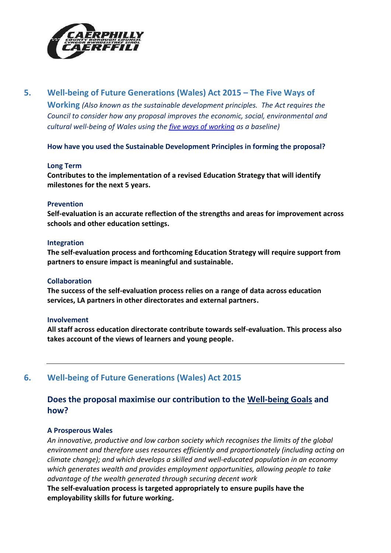

# **5. Well-being of Future Generations (Wales) Act 2015 – The Five Ways of**

**Working** *(Also known as the sustainable development principles. The Act requires the Council to consider how any proposal improves the economic, social, environmental and cultural well-being of Wales using the [five ways of working](https://your.caerphilly.gov.uk/publicservicesboard/content/5-ways-working) as a baseline)*

**How have you used the Sustainable Development Principles in forming the proposal?**

#### **Long Term**

**Contributes to the implementation of a revised Education Strategy that will identify milestones for the next 5 years.**

#### **Prevention**

**Self-evaluation is an accurate reflection of the strengths and areas for improvement across schools and other education settings.**

#### **Integration**

**The self-evaluation process and forthcoming Education Strategy will require support from partners to ensure impact is meaningful and sustainable.**

#### **Collaboration**

**The success of the self-evaluation process relies on a range of data across education services, LA partners in other directorates and external partners.**

#### **Involvement**

**All staff across education directorate contribute towards self-evaluation. This process also takes account of the views of learners and young people.**

## **6. Well-being of Future Generations (Wales) Act 2015**

# **Does the proposal maximise our contribution to the [Well-being Goals](https://www.caerphilly.gov.uk/My-Council/Strategies,-plans-and-policies/Corporate-strategies,-plans-and-policies/The-Well-being-of-Future-Generations-(Wales)-Act?lang=en-GB) and how?**

#### **A Prosperous Wales**

*An innovative, productive and low carbon society which recognises the limits of the global environment and therefore uses resources efficiently and proportionately (including acting on climate change); and which develops a skilled and well-educated population in an economy which generates wealth and provides employment opportunities, allowing people to take advantage of the wealth generated through securing decent work*

**The self-evaluation process is targeted appropriately to ensure pupils have the employability skills for future working.**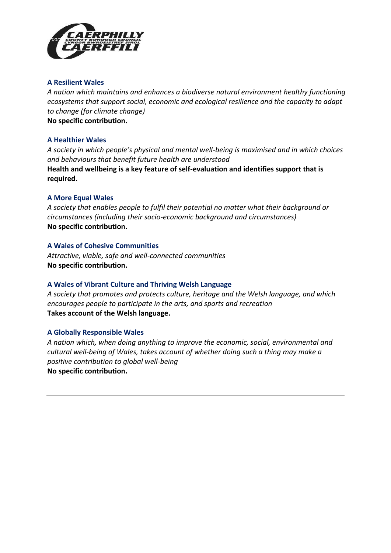

#### **A Resilient Wales**

*A nation which maintains and enhances a biodiverse natural environment healthy functioning ecosystems that support social, economic and ecological resilience and the capacity to adapt to change (for climate change)* **No specific contribution.**

#### **A Healthier Wales**

*A society in which people's physical and mental well-being is maximised and in which choices and behaviours that benefit future health are understood* **Health and wellbeing is a key feature of self-evaluation and identifies support that is required.**

#### **A More Equal Wales**

*A society that enables people to fulfil their potential no matter what their background or circumstances (including their socio-economic background and circumstances)* **No specific contribution.**

#### **A Wales of Cohesive Communities**

*Attractive, viable, safe and well-connected communities* **No specific contribution.**

#### **A Wales of Vibrant Culture and Thriving Welsh Language**

*A society that promotes and protects culture, heritage and the Welsh language, and which encourages people to participate in the arts, and sports and recreation* **Takes account of the Welsh language.**

#### **A Globally Responsible Wales**

*A nation which, when doing anything to improve the economic, social, environmental and cultural well-being of Wales, takes account of whether doing such a thing may make a positive contribution to global well-being* **No specific contribution.**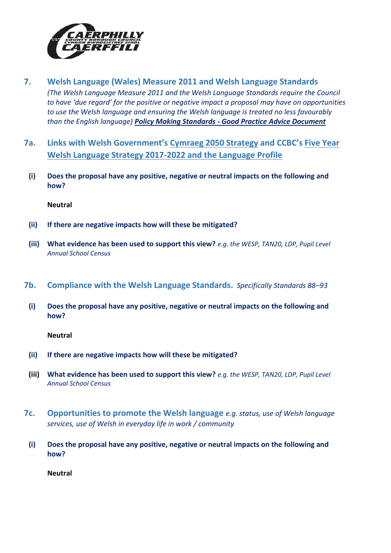

- **7. Welsh Language (Wales) Measure 2011 and Welsh Language Standards**  *(The Welsh Language Measure 2011 and the Welsh Language Standards require the Council to have 'due regard' for the positive or negative impact a proposal may have on opportunities to use the Welsh language and ensuring the Welsh language is treated no less favourably than the English language) Policy Making Standards - [Good Practice Advice Document](http://sc-aptdken2/KENTICO10/getattachment/b33d6f35-d70e-4d8d-917d-cc0e4abe2624/Policy-Making-Standards-Advisory-Document.aspx)*
- **7a. Links with Welsh Government's [Cymraeg 2050 Strategy](https://gov.wales/sites/default/files/publications/2018-12/cymraeg-2050-welsh-language-strategy.pdf) and CCBC's [Five Year](https://www.caerphilly.gov.uk/My-Council/Strategies,-plans-and-policies/Equalities/Welsh-Language-Strategy)  [Welsh Language Strategy 2017-2022](https://www.caerphilly.gov.uk/My-Council/Strategies,-plans-and-policies/Equalities/Welsh-Language-Strategy) and the [Language Profile](https://www.caerphilly.gov.uk/CaerphillyDocs/Equalities/Welsh_Language_Profile_2016.aspx)**
	- **(i) Does the proposal have any positive, negative or neutral impacts on the following and how?**

- **(ii) If there are negative impacts how will these be mitigated?**
- **(iii) What evidence has been used to support this view?** *e.g. the WESP, TAN20, LDP, Pupil Level Annual School Census*
- **7b. Compliance with the [Welsh Language Standards.](https://www.caerphilly.gov.uk/CaerphillyDocs/Equalities/ComplianceNotice.aspx)** *Specifically Standards 88–93*
	- **(i) Does the proposal have any positive, negative or neutral impacts on the following and how?**

**Neutral**

- **(ii) If there are negative impacts how will these be mitigated?**
- **(iii) What evidence has been used to support this view?** *e.g. the WESP, TAN20, LDP, Pupil Level Annual School Census*
- **7c. Opportunities to promote the Welsh language** *e.g. status, use of Welsh language services, use of Welsh in everyday life in work / community*
- **(i) Does the proposal have any positive, negative or neutral impacts on the following and how?**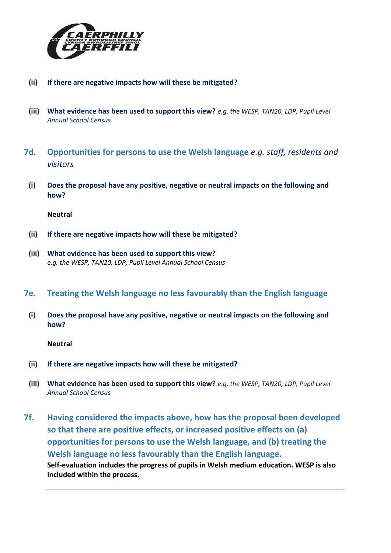

- **(ii) If there are negative impacts how will these be mitigated?**
- **(iii) What evidence has been used to support this view?** *e.g. the WESP, TAN20, LDP, Pupil Level Annual School Census*
- **7d. Opportunities for persons to use the Welsh language** *e.g. staff, residents and visitors*
	- **(i) Does the proposal have any positive, negative or neutral impacts on the following and how?**

- **(ii) If there are negative impacts how will these be mitigated?**
- **(iii) What evidence has been used to support this view?**  *e.g. the WESP, TAN20, LDP, Pupil Level Annual School Census*
- **7e. Treating the Welsh language no less favourably than the English language**
	- **(i) Does the proposal have any positive, negative or neutral impacts on the following and how?**

- **(ii) If there are negative impacts how will these be mitigated?**
- **(iii) What evidence has been used to support this view?** *e.g. the WESP, TAN20, LDP, Pupil Level Annual School Census*
- **7f. Having considered the impacts above, how has the proposal been developed so that there are positive effects, or increased positive effects on (a) opportunities for persons to use the Welsh language, and (b) treating the Welsh language no less favourably than the English language. Self-evaluation includes the progress of pupils in Welsh medium education. WESP is also included within the process.**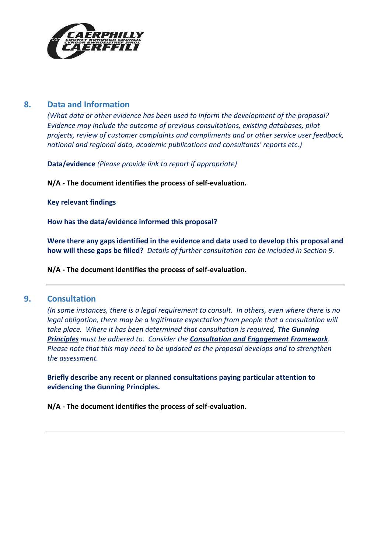

### **8. Data and Information**

*(What data or other evidence has been used to inform the development of the proposal? Evidence may include the outcome of previous consultations, existing databases, pilot projects, review of customer complaints and compliments and or other service user feedback, national and regional data, academic publications and consultants' reports etc.)*

**Data/evidence** *(Please provide link to report if appropriate)*

**N/A - The document identifies the process of self-evaluation.**

**Key relevant findings**

**How has the data/evidence informed this proposal?**

**Were there any gaps identified in the evidence and data used to develop this proposal and how will these gaps be filled?** *Details of further consultation can be included in Section 9.*

**N/A - The document identifies the process of self-evaluation.**

### **9. Consultation**

*(In some instances, there is a legal requirement to consult. In others, even where there is no legal obligation, there may be a legitimate expectation from people that a consultation will take place. Where it has been determined that consultation is required, [The Gunning](https://www.consultationinstitute.org/the-gunning-principles-implications/)  [Principles](https://www.consultationinstitute.org/the-gunning-principles-implications/) must be adhered to. Consider the [Consultation and Engagement Framework](https://www.caerphilly.gov.uk/CaerphillyDocs/Consultations/Consultation-and-Engagement-Framework.aspx). Please note that this may need to be updated as the proposal develops and to strengthen the assessment.*

**Briefly describe any recent or planned consultations paying particular attention to evidencing the Gunning Principles.**

**N/A - The document identifies the process of self-evaluation.**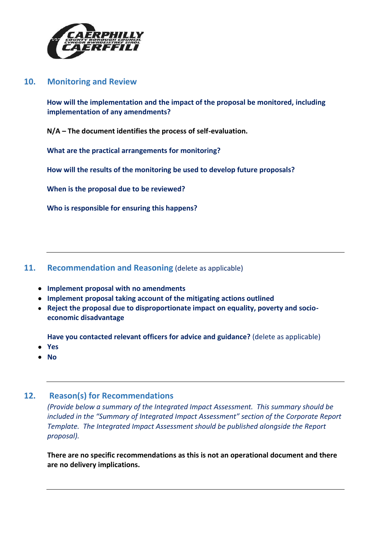

### **10. Monitoring and Review**

**How will the implementation and the impact of the proposal be monitored, including implementation of any amendments?**

**N/A – The document identifies the process of self-evaluation.**

**What are the practical arrangements for monitoring?**

**How will the results of the monitoring be used to develop future proposals?**

**When is the proposal due to be reviewed?**

**Who is responsible for ensuring this happens?**

### **11. Recommendation and Reasoning** (delete as applicable)

- **Implement proposal with no amendments**
- **Implement proposal taking account of the mitigating actions outlined**
- **Reject the proposal due to disproportionate impact on equality, poverty and socioeconomic disadvantage**

**Have you contacted relevant officers for advice and guidance?** (delete as applicable)

- **Yes**
- **No**

### **12. Reason(s) for Recommendations**

*(Provide below a summary of the Integrated Impact Assessment. This summary should be included in the "Summary of Integrated Impact Assessment" section of the Corporate Report Template. The Integrated Impact Assessment should be published alongside the Report proposal).*

**There are no specific recommendations as this is not an operational document and there are no delivery implications.**